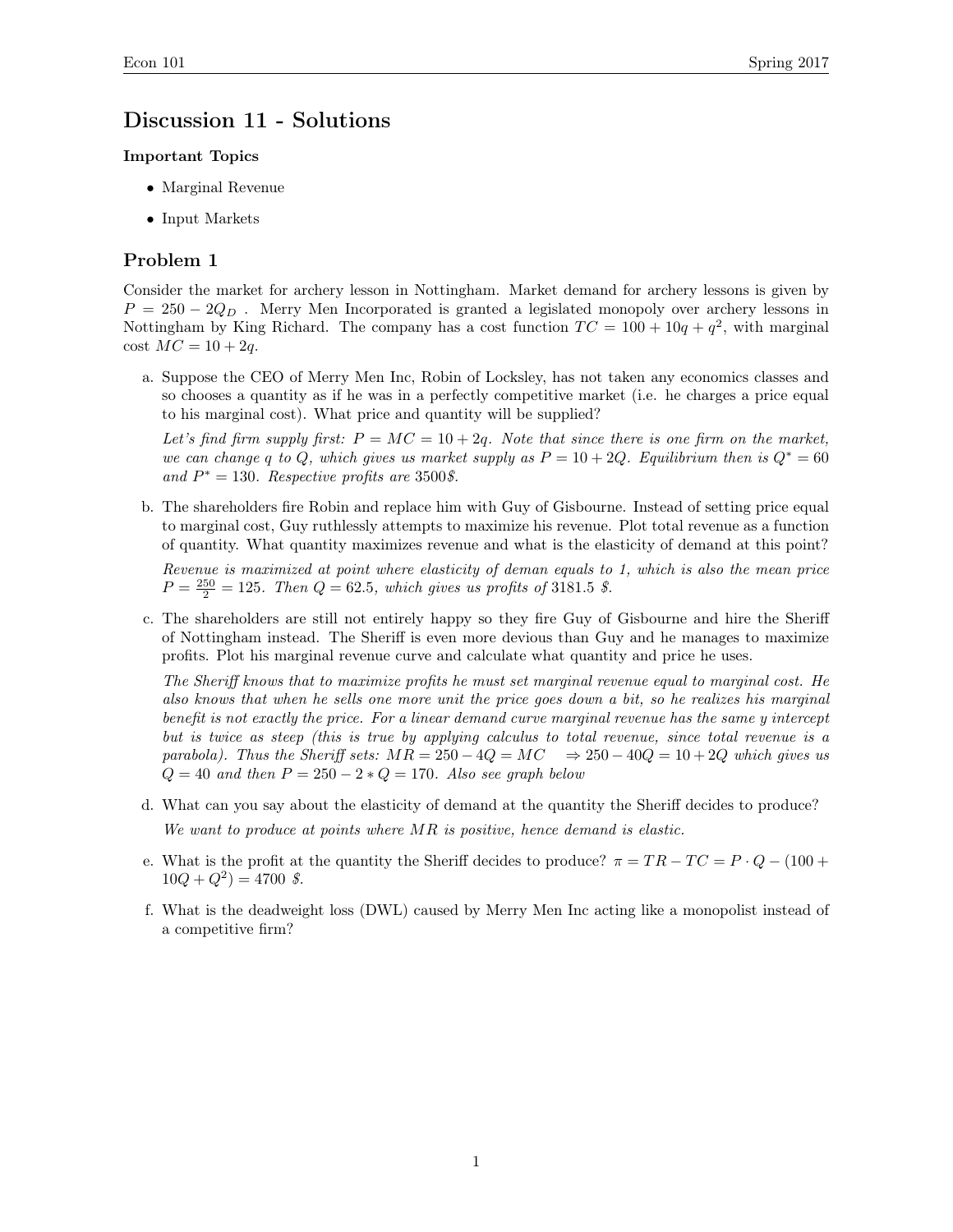# Discussion 11 - Solutions

### Important Topics

- *•* Marginal Revenue
- *•* Input Markets

## Problem 1

Consider the market for archery lesson in Nottingham. Market demand for archery lessons is given by  $P = 250 - 2Q<sub>D</sub>$ . Merry Men Incorporated is granted a legislated monopoly over archery lessons in Nottingham by King Richard. The company has a cost function  $TC = 100 + 10q + q^2$ , with marginal  $\cos t \, MC = 10 + 2q.$ 

a. Suppose the CEO of Merry Men Inc, Robin of Locksley, has not taken any economics classes and so chooses a quantity as if he was in a perfectly competitive market (i.e. he charges a price equal to his marginal cost). What price and quantity will be supplied?

Let's find firm supply first:  $P = MC = 10 + 2q$ . Note that since there is one firm on the market, *we can change q to Q, which gives us market supply as*  $P = 10 + 2Q$ *. Equilibrium then is*  $Q^* = 60$ and  $P^* = 130$ *. Respective profits are* 3500*\$*.

b. The shareholders fire Robin and replace him with Guy of Gisbourne. Instead of setting price equal to marginal cost, Guy ruthlessly attempts to maximize his revenue. Plot total revenue as a function of quantity. What quantity maximizes revenue and what is the elasticity of demand at this point?

*Revenue is maximized at point where elasticity of deman equals to 1, which is also the mean price*  $P = \frac{250}{2} = 125$ *. Then*  $Q = 62.5$ *, which gives us profits of* 3181.5 *\$*.

c. The shareholders are still not entirely happy so they fire Guy of Gisbourne and hire the Sheriff of Nottingham instead. The Sheriff is even more devious than Guy and he manages to maximize profits. Plot his marginal revenue curve and calculate what quantity and price he uses.

*The Sheri*ff *knows that to maximize profits he must set marginal revenue equal to marginal cost. He also knows that when he sells one more unit the price goes down a bit, so he realizes his marginal benefit is not exactly the price. For a linear demand curve marginal revenue has the same y intercept but is twice as steep (this is true by applying calculus to total revenue, since total revenue is a parabola). Thus the Sheriff sets:*  $MR = 250 - 4Q = MC \Rightarrow 250 - 40Q = 10 + 2Q$  *which gives us*  $Q = 40$  *and then*  $P = 250 - 2 * Q = 170$ *. Also see graph below* 

- d. What can you say about the elasticity of demand at the quantity the Sheriff decides to produce? *We want to produce at points where MR is positive, hence demand is elastic.*
- e. What is the profit at the quantity the Sheriff decides to produce?  $\pi = TR TC = P \cdot Q (100 +$  $10Q + Q^2 = 4700 \text{ }$ .
- f. What is the deadweight loss (DWL) caused by Merry Men Inc acting like a monopolist instead of a competitive firm?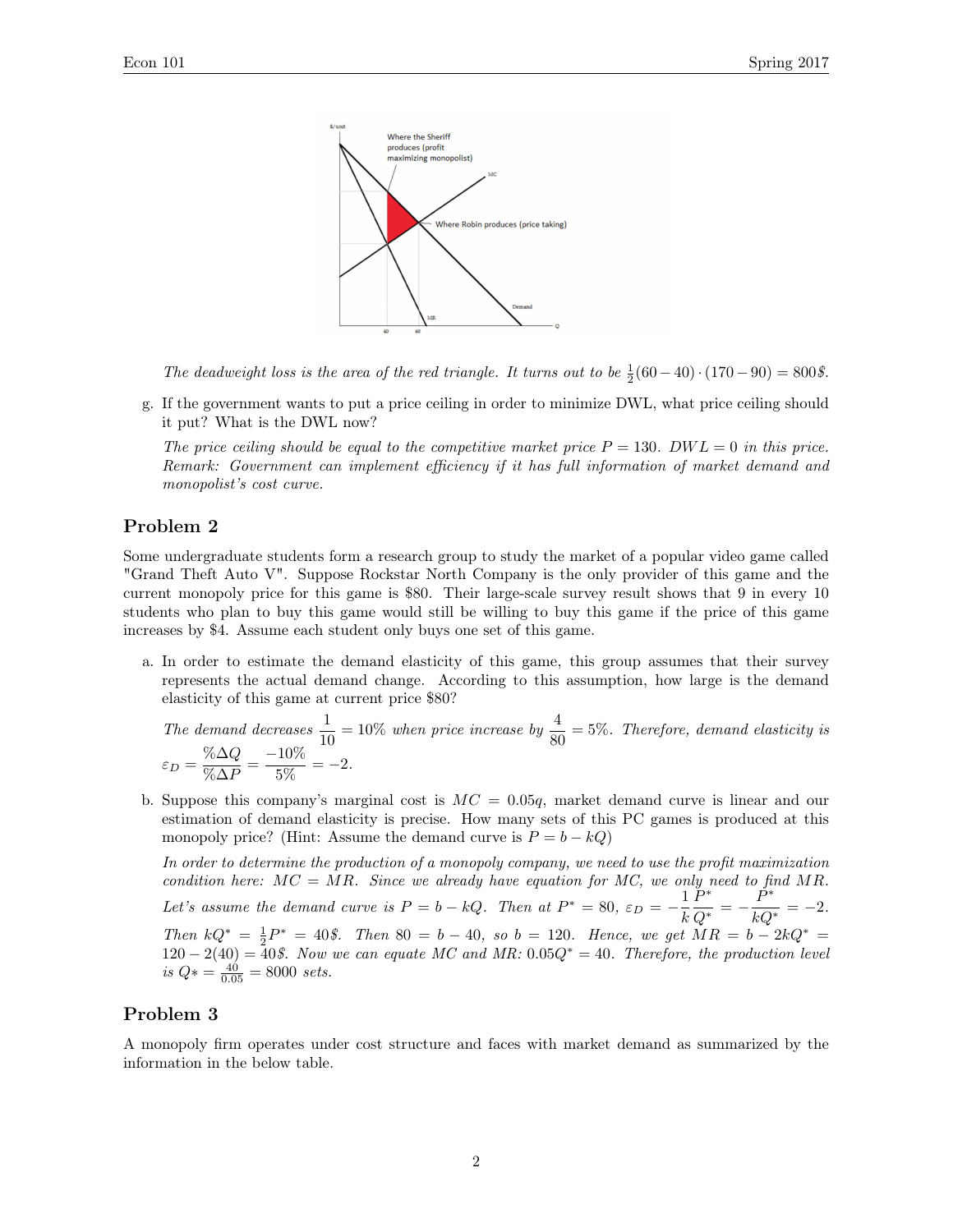

The deadweight loss is the area of the red triangle. It turns out to be  $\frac{1}{2}(60-40) \cdot (170-90) = 800\$ .

g. If the government wants to put a price ceiling in order to minimize DWL, what price ceiling should it put? What is the DWL now?

*The price ceiling should be equal to the competitive market price*  $P = 130$ .  $DWL = 0$  in this price. *Remark: Government can implement e*ffi*ciency if it has full information of market demand and monopolist's cost curve.*

### Problem 2

Some undergraduate students form a research group to study the market of a popular video game called "Grand Theft Auto V". Suppose Rockstar North Company is the only provider of this game and the current monopoly price for this game is \$80. Their large-scale survey result shows that 9 in every 10 students who plan to buy this game would still be willing to buy this game if the price of this game increases by \$4. Assume each student only buys one set of this game.

a. In order to estimate the demand elasticity of this game, this group assumes that their survey represents the actual demand change. According to this assumption, how large is the demand elasticity of this game at current price \$80?

The demand decreases 
$$
\frac{1}{10} = 10\%
$$
 when price increase by  $\frac{4}{80} = 5\%$ . Therefore, demand elasticity is  $\varepsilon_D = \frac{\% \Delta Q}{\% \Delta P} = \frac{-10\%}{5\%} = -2$ .

b. Suppose this company's marginal cost is *MC* = 0*.*05*q*, market demand curve is linear and our estimation of demand elasticity is precise. How many sets of this PC games is produced at this monopoly price? (Hint: Assume the demand curve is  $P = b - kQ$ )

*In order to determine the production of a monopoly company, we need to use the profit maximization condition here:*  $MC = MR$ *. Since we already have equation for MC, we only need to find MR.* Let's assume the demand curve is  $P = b - kQ$ . Then at  $P^* = 80$ ,  $\varepsilon_D = -\frac{1}{k}$  $\frac{P^*}{Q^*} = -\frac{P^*}{kQ^*} = -2.$ *Then*  $kQ^* = \frac{1}{2}P^* = 40\$ . *Then* 80 = *b* - 40*,* so *b* = 120*. Hence, we get*  $MR = b - 2kQ^* =$  $120 - 2(40) = 40\$ . Now we can equate MC and MR:  $0.05Q^* = 40$ . Therefore, the production level *is*  $Q* = \frac{40}{0.05} = 8000 \text{ sets.}$ 

#### Problem 3

A monopoly firm operates under cost structure and faces with market demand as summarized by the information in the below table.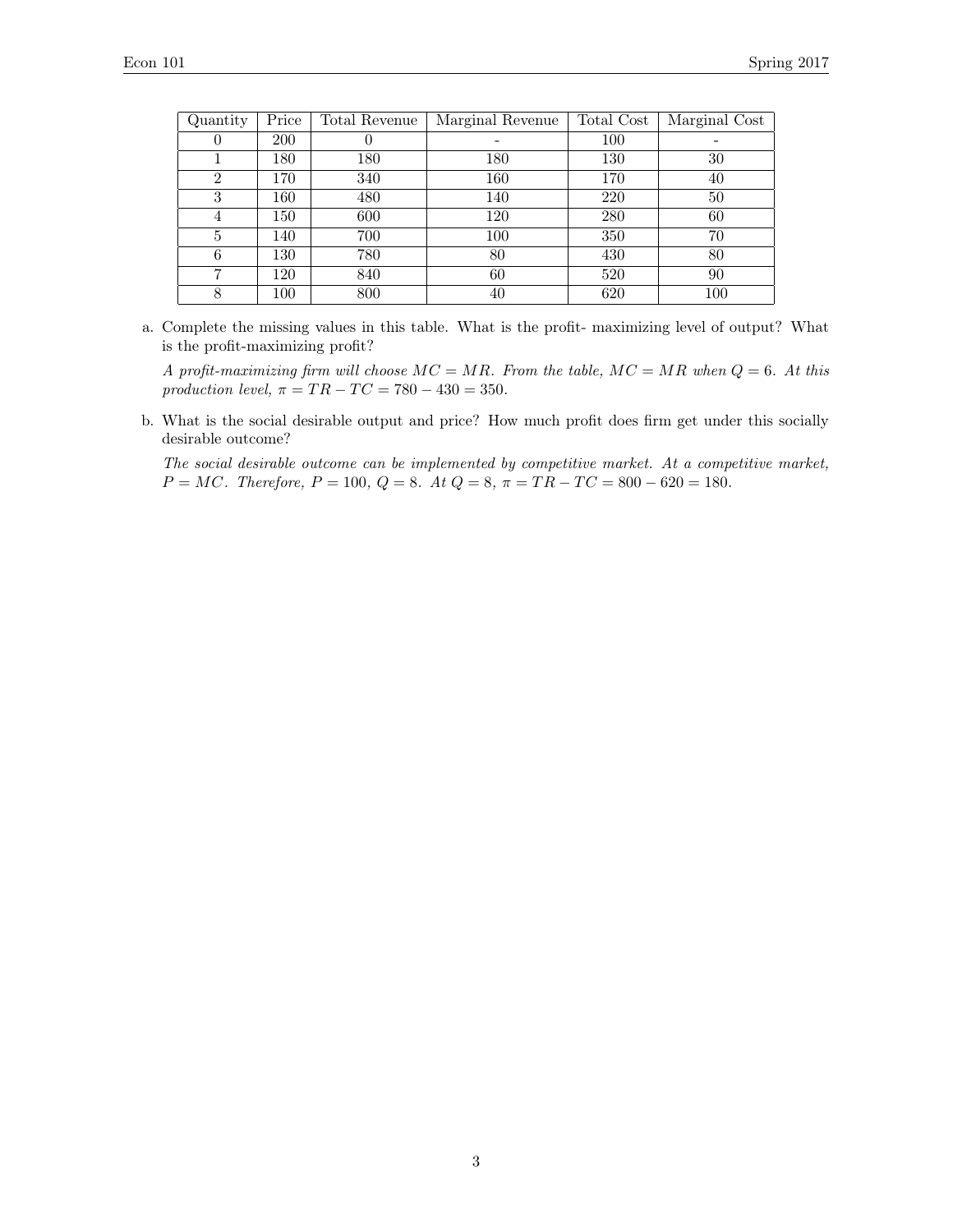| Quantity       | Price | Total Revenue | Marginal Revenue | Total Cost | Marginal Cost |
|----------------|-------|---------------|------------------|------------|---------------|
| U              | 200   | U             |                  | 100        |               |
|                | 180   | 180           | 180              | 130        | 30            |
| $\overline{2}$ | 170   | 340           | 160              | 170        | 40            |
| 3              | 160   | 480           | 140              | 220        | 50            |
| 4              | 150   | 600           | 120              | 280        | 60            |
| 5              | 140   | 700           | 100              | 350        | 70            |
| 6              | 130   | 780           | 80               | 430        | 80            |
| ,              | 120   | 840           | 60               | 520        | 90            |
| 8              | 100   | 800           | 40               | 620        | 100           |

a. Complete the missing values in this table. What is the profit- maximizing level of output? What is the profit-maximizing profit?

*A profit-maximizing firm will choose MC* = *MR. From the table, MC* = *MR when Q* = 6*. At this production level,*  $\pi = TR - TC = 780 - 430 = 350$ .

b. What is the social desirable output and price? How much profit does firm get under this socially desirable outcome?

*The social desirable outcome can be implemented by competitive market. At a competitive market,*  $P = MC$ *. Therefore,*  $P = 100$ *,*  $Q = 8$ *. At*  $Q = 8$ *,*  $\pi = TR - TC = 800 - 620 = 180$ *.*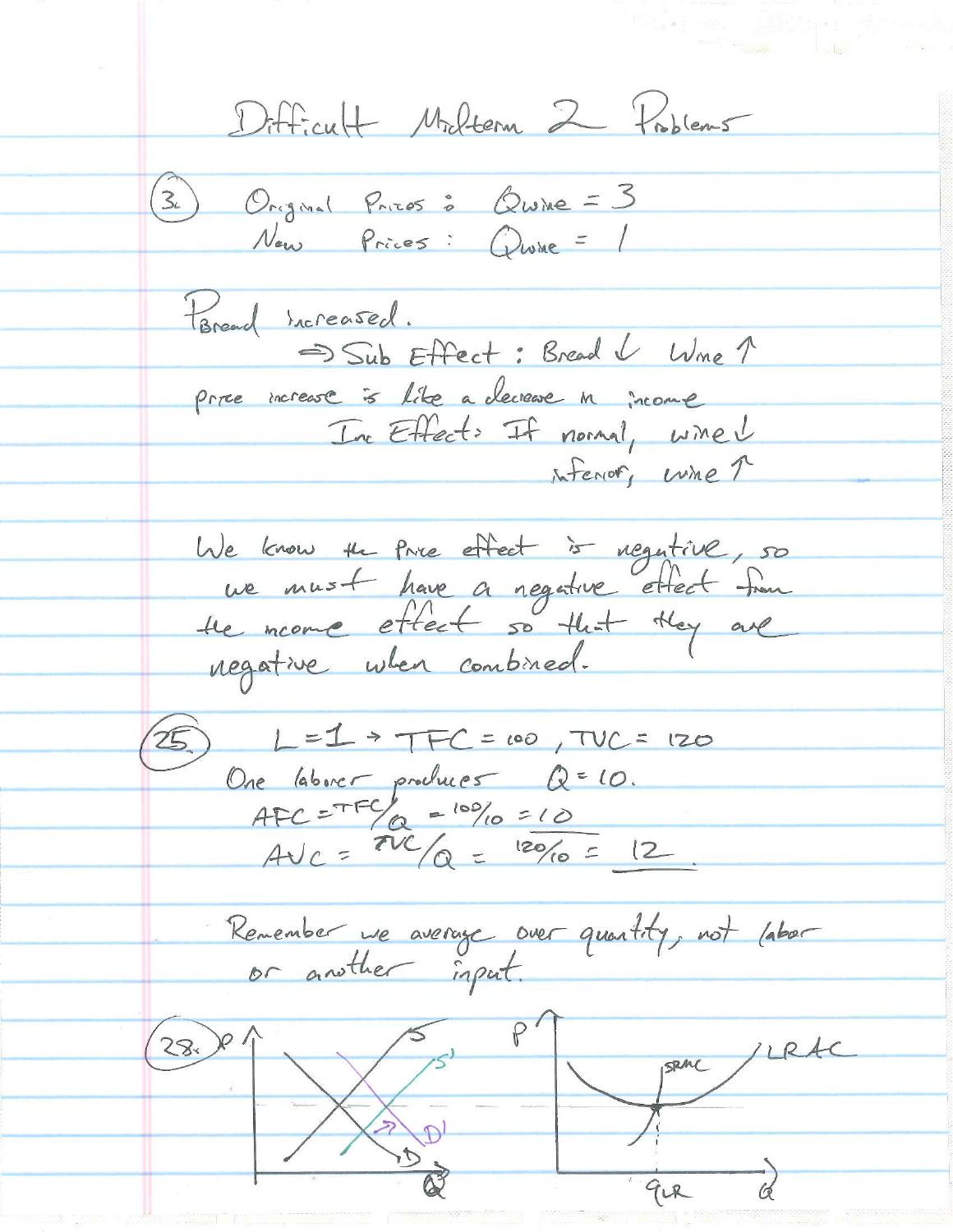Difficult Milton 2 Problems 3) Original Prices : Quine = 3 Now Prices : Quine = 1 Hareard Increased. Sub Effect: Bread & Wine 1 price increase is like a decrease in income In Effect: If normal, wined inferior, wine ? We know the Price effect is regulive, 50 we must have a regative ettect from negative when combined.  $25. L = 1 + TFC = 00, TUC = 120$ One laborer prochuer Q=10.<br>AFC=TFC = 10% = 10<br>AVC = TVC /Q = 120/10 = 12. Remember we average over quantity, not labor  $\frac{28.194}{8}$   $\frac{8}{94}$   $\frac{1026}{9}$